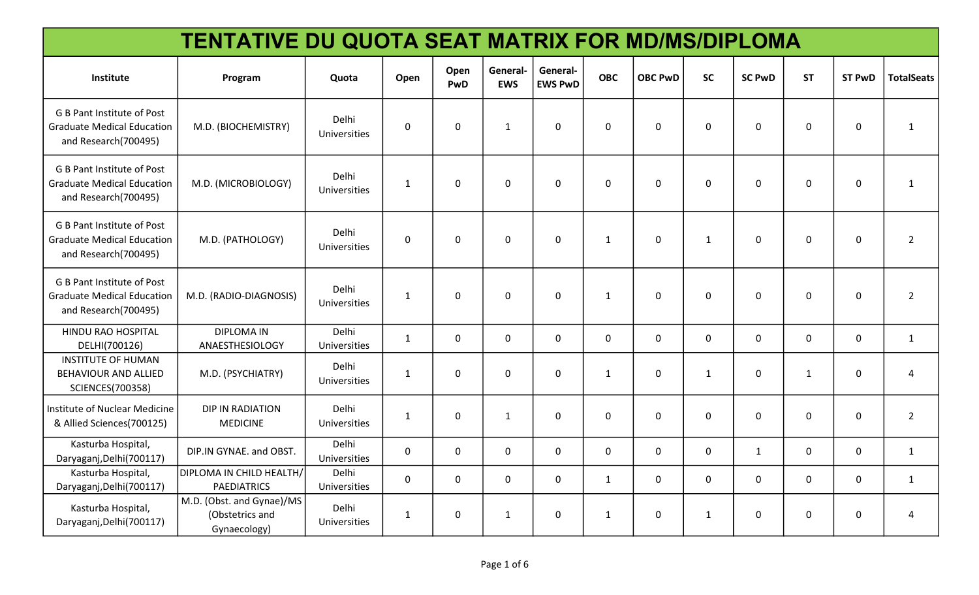| <b>TENTATIVE DU QUOTA SEAT MATRIX FOR MD/MS/DIPLOMA</b>                                        |                                                              |                              |                     |             |                        |                            |              |                |              |               |             |               |                   |
|------------------------------------------------------------------------------------------------|--------------------------------------------------------------|------------------------------|---------------------|-------------|------------------------|----------------------------|--------------|----------------|--------------|---------------|-------------|---------------|-------------------|
| Institute                                                                                      | Program                                                      | <b>Ouota</b>                 | Open                | Open<br>PwD | General-<br><b>EWS</b> | General-<br><b>EWS PwD</b> | <b>OBC</b>   | <b>OBC PwD</b> | <b>SC</b>    | <b>SC PwD</b> | <b>ST</b>   | <b>ST PwD</b> | <b>TotalSeats</b> |
| <b>G B Pant Institute of Post</b><br><b>Graduate Medical Education</b><br>and Research(700495) | M.D. (BIOCHEMISTRY)                                          | Delhi<br>Universities        | $\mathsf{O}\xspace$ | $\mathbf 0$ | $\mathbf{1}$           | 0                          | $\mathbf 0$  | $\mathbf 0$    | $\mathbf 0$  | $\mathbf 0$   | $\mathbf 0$ | 0             | $\mathbf{1}$      |
| <b>G B Pant Institute of Post</b><br><b>Graduate Medical Education</b><br>and Research(700495) | M.D. (MICROBIOLOGY)                                          | <b>Delhi</b><br>Universities | $\mathbf{1}$        | $\mathbf 0$ | 0                      | 0                          | $\mathbf 0$  | $\mathbf 0$    | $\mathbf 0$  | $\mathbf 0$   | $\mathbf 0$ | 0             | $\mathbf{1}$      |
| G B Pant Institute of Post<br><b>Graduate Medical Education</b><br>and Research(700495)        | M.D. (PATHOLOGY)                                             | Delhi<br>Universities        | $\mathbf 0$         | $\Omega$    | $\Omega$               | $\Omega$                   | $\mathbf{1}$ | $\mathbf 0$    | $\mathbf{1}$ | $\Omega$      | $\Omega$    | 0             | $2^{\circ}$       |
| G B Pant Institute of Post<br><b>Graduate Medical Education</b><br>and Research(700495)        | M.D. (RADIO-DIAGNOSIS)                                       | Delhi<br>Universities        | $\mathbf{1}$        | $\mathbf 0$ | $\mathbf{0}$           | $\Omega$                   | $\mathbf{1}$ | $\mathbf 0$    | $\mathbf 0$  | $\mathbf 0$   | $\mathbf 0$ | $\mathbf 0$   | $2^{\circ}$       |
| HINDU RAO HOSPITAL<br>DELHI(700126)                                                            | <b>DIPLOMA IN</b><br>ANAESTHESIOLOGY                         | Delhi<br><b>Universities</b> | $\mathbf{1}$        | $\mathbf 0$ | $\mathbf 0$            | $\mathbf 0$                | $\mathsf{O}$ | $\mathbf 0$    | $\mathbf 0$  | $\mathbf 0$   | $\mathbf 0$ | 0             | $\mathbf{1}$      |
| <b>INSTITUTE OF HUMAN</b><br>BEHAVIOUR AND ALLIED<br><b>SCIENCES(700358)</b>                   | M.D. (PSYCHIATRY)                                            | Delhi<br>Universities        | $\mathbf{1}$        | $\mathbf 0$ | 0                      | 0                          | $\mathbf{1}$ | $\mathbf 0$    | $\mathbf{1}$ | $\mathbf 0$   | 1           | 0             | $\overline{4}$    |
| Institute of Nuclear Medicine<br>& Allied Sciences(700125)                                     | <b>DIP IN RADIATION</b><br><b>MEDICINE</b>                   | Delhi<br>Universities        | $\mathbf{1}$        | $\mathbf 0$ | $\mathbf{1}$           | 0                          | $\mathbf 0$  | $\mathbf 0$    | $\mathbf 0$  | $\mathbf 0$   | $\mathbf 0$ | 0             | $2^{\circ}$       |
| Kasturba Hospital,<br>Daryaganj, Delhi (700117)                                                | DIP.IN GYNAE. and OBST.                                      | Delhi<br>Universities        | $\mathbf 0$         | $\mathbf 0$ | 0                      | 0                          | $\mathbf 0$  | $\mathbf 0$    | $\mathbf 0$  | $\mathbf{1}$  | 0           | 0             | $\mathbf{1}$      |
| Kasturba Hospital,<br>Daryaganj, Delhi (700117)                                                | DIPLOMA IN CHILD HEALTH/<br><b>PAEDIATRICS</b>               | Delhi<br>Universities        | $\mathbf 0$         | $\mathbf 0$ | 0                      | 0                          | $\mathbf{1}$ | $\mathbf 0$    | $\mathbf 0$  | $\mathbf 0$   | 0           | 0             | $\mathbf{1}$      |
| Kasturba Hospital,<br>Daryaganj, Delhi (700117)                                                | M.D. (Obst. and Gynae)/MS<br>(Obstetrics and<br>Gynaecology) | Delhi<br><b>Universities</b> | $\mathbf{1}$        | $\mathbf 0$ | $\mathbf{1}$           | 0                          | $\mathbf{1}$ | $\pmb{0}$      | $\mathbf{1}$ | $\mathbf 0$   | 0           | 0             | 4                 |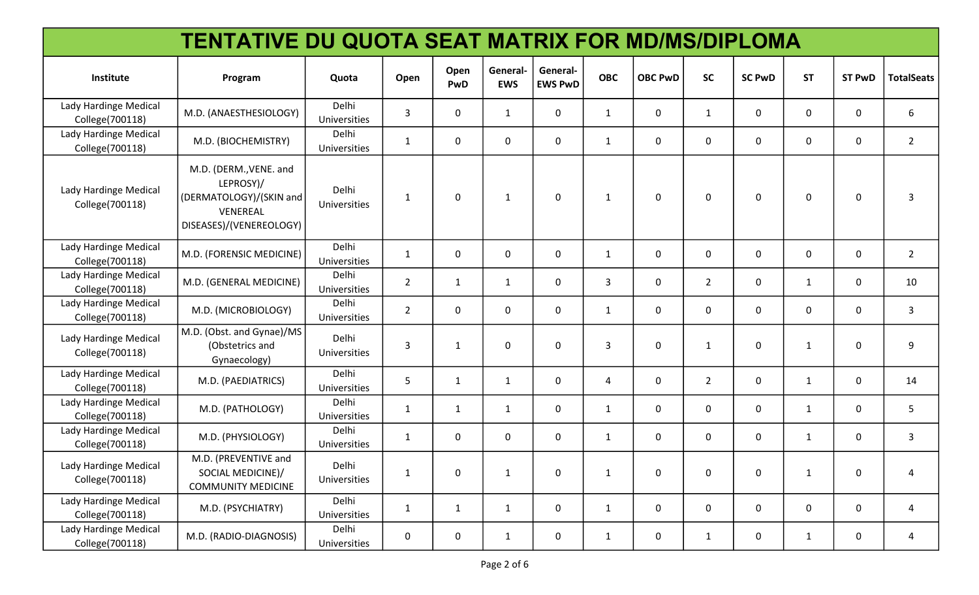| <b>TENTATIVE DU QUOTA SEAT MATRIX FOR MD/MS/DIPLOMA</b> |                                                                                                       |                                     |                |              |                       |                            |                |                |                |               |              |               |                   |
|---------------------------------------------------------|-------------------------------------------------------------------------------------------------------|-------------------------------------|----------------|--------------|-----------------------|----------------------------|----------------|----------------|----------------|---------------|--------------|---------------|-------------------|
| Institute                                               | Program                                                                                               | Quota                               | Open           | Open<br>PwD  | General<br><b>EWS</b> | General-<br><b>EWS PwD</b> | <b>OBC</b>     | <b>OBC PwD</b> | <b>SC</b>      | <b>SC PwD</b> | <b>ST</b>    | <b>ST PwD</b> | <b>TotalSeats</b> |
| Lady Hardinge Medical<br>College(700118)                | M.D. (ANAESTHESIOLOGY)                                                                                | <b>Delhi</b><br><b>Universities</b> | 3              | 0            | $\mathbf{1}$          | 0                          | $\mathbf{1}$   | 0              | $\mathbf{1}$   | 0             | 0            | 0             | 6                 |
| Lady Hardinge Medical<br>College(700118)                | M.D. (BIOCHEMISTRY)                                                                                   | Delhi<br>Universities               | $\mathbf{1}$   | $\mathbf 0$  | 0                     | 0                          | $\mathbf{1}$   | 0              | $\mathbf 0$    | 0             | $\mathbf 0$  | 0             | $2^{\circ}$       |
| Lady Hardinge Medical<br>College(700118)                | M.D. (DERM., VENE. and<br>LEPROSY)/<br>(DERMATOLOGY)/(SKIN and<br>VENEREAL<br>DISEASES)/(VENEREOLOGY) | Delhi<br><b>Universities</b>        | $\mathbf{1}$   | 0            | $\mathbf{1}$          | $\mathbf{0}$               | $\mathbf{1}$   | $\mathbf 0$    | $\mathbf 0$    | $\mathbf 0$   | 0            | 0             | 3                 |
| Lady Hardinge Medical<br>College(700118)                | M.D. (FORENSIC MEDICINE)                                                                              | Delhi<br>Universities               | $\mathbf{1}$   | $\mathbf{0}$ | 0                     | 0                          | $\mathbf{1}$   | 0              | 0              | $\mathbf{0}$  | 0            | 0             | $2^{\circ}$       |
| Lady Hardinge Medical<br>College(700118)                | M.D. (GENERAL MEDICINE)                                                                               | Delhi<br>Universities               | $\overline{2}$ | $\mathbf{1}$ | $\mathbf{1}$          | 0                          | $\overline{3}$ | $\mathbf 0$    | $\overline{2}$ | $\mathbf 0$   | $\mathbf{1}$ | 0             | 10                |
| Lady Hardinge Medical<br>College(700118)                | M.D. (MICROBIOLOGY)                                                                                   | Delhi<br>Universities               | $\overline{2}$ | 0            | 0                     | 0                          | $\mathbf{1}$   | 0              | $\mathbf 0$    | 0             | $\mathbf 0$  | 0             | 3                 |
| Lady Hardinge Medical<br>College(700118)                | M.D. (Obst. and Gynae)/MS<br>(Obstetrics and<br>Gynaecology)                                          | Delhi<br>Universities               | 3              | $\mathbf{1}$ | 0                     | 0                          | 3              | 0              | $\mathbf{1}$   | $\mathbf 0$   | $\mathbf{1}$ | 0             | 9                 |
| Lady Hardinge Medical<br>College(700118)                | M.D. (PAEDIATRICS)                                                                                    | <b>Delhi</b><br><b>Universities</b> | 5              | $\mathbf{1}$ | $\mathbf{1}$          | 0                          | 4              | 0              | $\overline{2}$ | $\mathbf 0$   | 1            | 0             | 14                |
| Lady Hardinge Medical<br>College(700118)                | M.D. (PATHOLOGY)                                                                                      | Delhi<br>Universities               | $\mathbf{1}$   | $\mathbf{1}$ | $\mathbf{1}$          | 0                          | $\mathbf{1}$   | 0              | $\mathbf 0$    | $\mathbf 0$   | $\mathbf{1}$ | 0             | 5                 |
| Lady Hardinge Medical<br>College(700118)                | M.D. (PHYSIOLOGY)                                                                                     | Delhi<br>Universities               | $\mathbf{1}$   | 0            | 0                     | 0                          | $\mathbf{1}$   | 0              | 0              | $\mathbf 0$   | $\mathbf{1}$ | 0             | $\mathbf{3}$      |
| Lady Hardinge Medical<br>College(700118)                | M.D. (PREVENTIVE and<br>SOCIAL MEDICINE)/<br><b>COMMUNITY MEDICINE</b>                                | Delhi<br>Universities               | $\mathbf{1}$   | $\pmb{0}$    | $\mathbf{1}$          | 0                          | $\mathbf{1}$   | 0              | 0              | $\mathbf 0$   | 1            | 0             | 4                 |
| Lady Hardinge Medical<br>College(700118)                | M.D. (PSYCHIATRY)                                                                                     | Delhi<br>Universities               | $\mathbf{1}$   | $\mathbf{1}$ | $\mathbf{1}$          | 0                          | $\mathbf{1}$   | $\mathbf 0$    | 0              | $\mathbf 0$   | $\mathbf 0$  | 0             | 4                 |
| Lady Hardinge Medical<br>College(700118)                | M.D. (RADIO-DIAGNOSIS)                                                                                | Delhi<br>Universities               | $\mathbf 0$    | $\mathbf 0$  | $\mathbf{1}$          | 0                          | $\mathbf{1}$   | $\mathbf 0$    | $\mathbf{1}$   | $\mathbf 0$   | $\mathbf{1}$ | 0             | 4                 |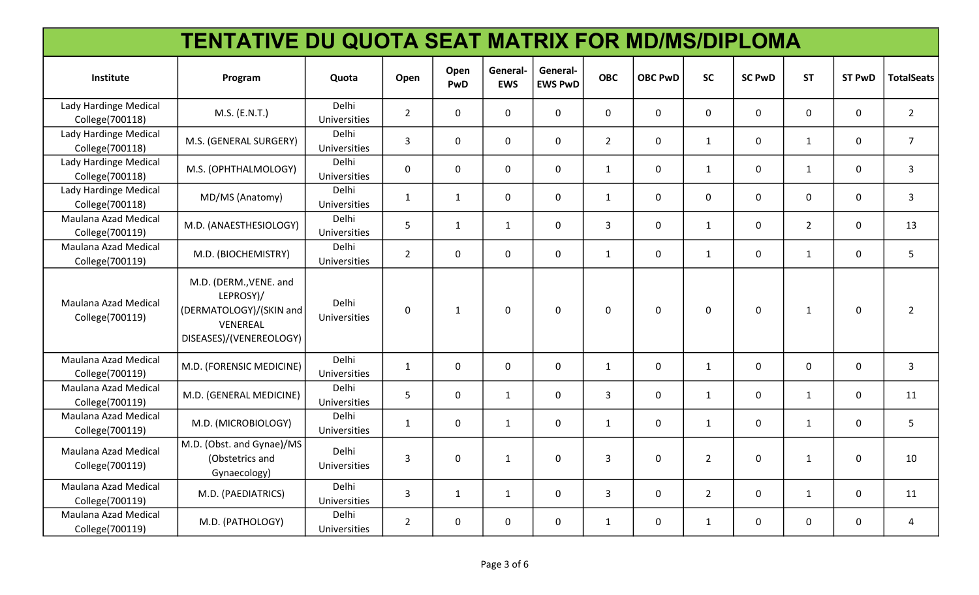| <b>TENTATIVE DU QUOTA SEAT MATRIX FOR MD/MS/DIPLOMA</b> |                                                                                                       |                              |                |              |                        |                            |                |                |                |               |              |               |                   |
|---------------------------------------------------------|-------------------------------------------------------------------------------------------------------|------------------------------|----------------|--------------|------------------------|----------------------------|----------------|----------------|----------------|---------------|--------------|---------------|-------------------|
| Institute                                               | Program                                                                                               | Quota                        | Open           | Open<br>PwD  | General-<br><b>EWS</b> | General-<br><b>EWS PwD</b> | <b>OBC</b>     | <b>OBC PwD</b> | <b>SC</b>      | <b>SC PwD</b> | <b>ST</b>    | <b>ST PwD</b> | <b>TotalSeats</b> |
| Lady Hardinge Medical<br>College(700118)                | M.S. (E.N.T.)                                                                                         | Delhi<br>Universities        | $\overline{2}$ | $\mathbf 0$  | $\mathbf 0$            | $\mathbf 0$                | $\mathbf 0$    | $\overline{0}$ | $\mathbf 0$    | $\mathbf 0$   | $\mathbf 0$  | $\mathbf 0$   | $2^{\circ}$       |
| Lady Hardinge Medical<br>College(700118)                | M.S. (GENERAL SURGERY)                                                                                | Delhi<br>Universities        | $\overline{3}$ | $\mathbf 0$  | $\mathbf 0$            | 0                          | $\overline{2}$ | $\mathbf 0$    | $\mathbf{1}$   | $\mathbf 0$   | $\mathbf{1}$ | 0             | 7 <sup>1</sup>    |
| Lady Hardinge Medical<br>College(700118)                | M.S. (OPHTHALMOLOGY)                                                                                  | Delhi<br>Universities        | $\mathbf 0$    | $\mathbf 0$  | $\mathsf{O}$           | $\mathbf 0$                | $\mathbf{1}$   | $\mathbf 0$    | $\mathbf{1}$   | $\mathbf 0$   | $\mathbf{1}$ | 0             | 3 <sup>1</sup>    |
| Lady Hardinge Medical<br>College(700118)                | MD/MS (Anatomy)                                                                                       | Delhi<br>Universities        | $\mathbf{1}$   | $\mathbf{1}$ | $\mathbf 0$            | $\mathbf{0}$               | $\mathbf{1}$   | $\mathbf 0$    | $\mathbf 0$    | $\mathbf 0$   | $\mathbf{0}$ | 0             | $\mathbf{3}$      |
| Maulana Azad Medical<br>College(700119)                 | M.D. (ANAESTHESIOLOGY)                                                                                | Delhi<br>Universities        | 5 <sup>1</sup> | $\mathbf{1}$ | $\mathbf{1}$           | $\mathbf{0}$               | $\overline{3}$ | $\mathbf 0$    | 1              | $\mathbf 0$   | $2^{\circ}$  | 0             | 13                |
| Maulana Azad Medical<br>College(700119)                 | M.D. (BIOCHEMISTRY)                                                                                   | Delhi<br>Universities        | $\overline{2}$ | $\Omega$     | $\mathbf 0$            | $\mathbf{0}$               | $\mathbf{1}$   | $\mathbf 0$    | $\mathbf{1}$   | $\mathbf 0$   | $\mathbf{1}$ | $\mathsf{O}$  | 5                 |
| Maulana Azad Medical<br>College(700119)                 | M.D. (DERM., VENE. and<br>LEPROSY)/<br>(DERMATOLOGY)/(SKIN and<br>VENEREAL<br>DISEASES)/(VENEREOLOGY) | Delhi<br>Universities        | $\mathsf 0$    | $\mathbf{1}$ | $\mathbf 0$            | $\mathbf 0$                | $\mathbf 0$    | $\mathbf 0$    | $\mathbf 0$    | $\mathbf 0$   | $\mathbf{1}$ | 0             | $\overline{2}$    |
| Maulana Azad Medical<br>College(700119)                 | M.D. (FORENSIC MEDICINE)                                                                              | Delhi<br>Universities        | $\mathbf{1}$   | $\mathbf 0$  | $\mathbf 0$            | $\mathbf 0$                | $\mathbf{1}$   | $\mathbf 0$    | $\mathbf{1}$   | $\mathbf 0$   | $\mathbf 0$  | $\mathbf 0$   | $\mathbf{3}$      |
| Maulana Azad Medical<br>College(700119)                 | M.D. (GENERAL MEDICINE)                                                                               | Delhi<br>Universities        | 5 <sup>5</sup> | $\mathbf 0$  | $\mathbf{1}$           | $\mathbf 0$                | $\overline{3}$ | $\overline{0}$ | $\mathbf{1}$   | $\mathbf 0$   | $\mathbf{1}$ | $\mathbf 0$   | 11                |
| Maulana Azad Medical<br>College(700119)                 | M.D. (MICROBIOLOGY)                                                                                   | Delhi<br>Universities        | $\mathbf{1}$   | $\mathbf 0$  | $\mathbf{1}$           | 0                          | $\mathbf{1}$   | 0              | $\mathbf{1}$   | $\mathbf 0$   | $\mathbf{1}$ | 0             | 5                 |
| Maulana Azad Medical<br>College(700119)                 | M.D. (Obst. and Gynae)/MS<br>(Obstetrics and<br>Gynaecology)                                          | <b>Delhi</b><br>Universities | $\overline{3}$ | $\mathbf 0$  | $\mathbf{1}$           | $\Omega$                   | $\overline{3}$ | $\mathbf 0$    | $\overline{2}$ | $\mathbf 0$   | $\mathbf{1}$ | $\mathbf 0$   | 10                |
| Maulana Azad Medical<br>College(700119)                 | M.D. (PAEDIATRICS)                                                                                    | Delhi<br>Universities        | 3              | $\mathbf{1}$ | $\mathbf{1}$           | 0                          | $\overline{3}$ | 0              | $\overline{2}$ | $\mathbf 0$   | $\mathbf{1}$ | 0             | 11                |
| Maulana Azad Medical<br>College(700119)                 | M.D. (PATHOLOGY)                                                                                      | Delhi<br>Universities        | $\overline{2}$ | $\mathbf 0$  | 0                      | 0                          | $\mathbf{1}$   | 0              | $\mathbf{1}$   | $\mathbf 0$   | $\mathbf 0$  | 0             | $\overline{4}$    |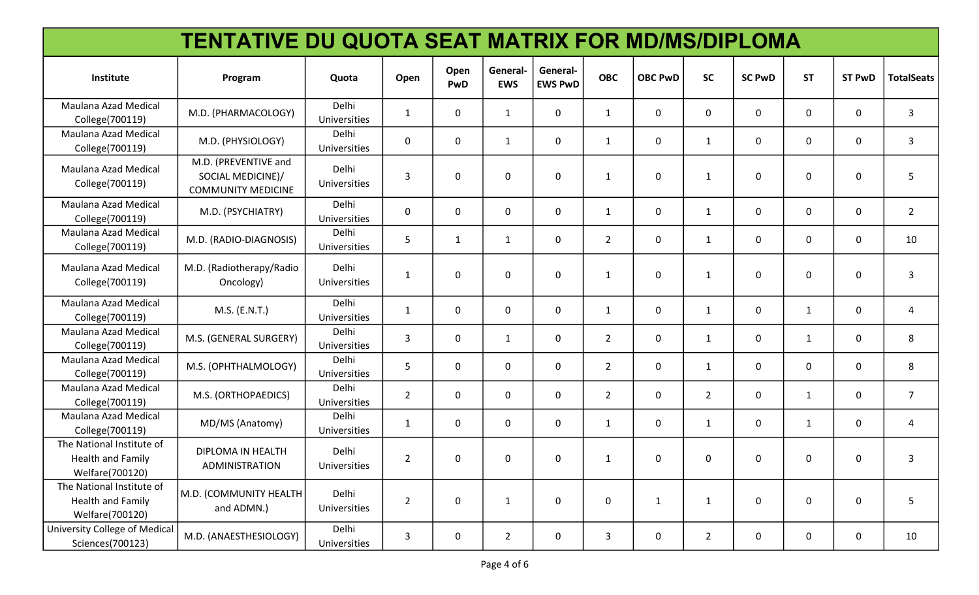| <b>TENTATIVE DU QUOTA SEAT MATRIX FOR MD/MS/DIPLOMA</b>           |                                                                        |                       |                |              |                        |                            |                |                |                |               |              |               |                   |
|-------------------------------------------------------------------|------------------------------------------------------------------------|-----------------------|----------------|--------------|------------------------|----------------------------|----------------|----------------|----------------|---------------|--------------|---------------|-------------------|
| Institute                                                         | Program                                                                | Quota                 | Open           | Open<br>PwD  | General-<br><b>EWS</b> | General-<br><b>EWS PwD</b> | <b>OBC</b>     | <b>OBC PwD</b> | <b>SC</b>      | <b>SC PwD</b> | <b>ST</b>    | <b>ST PwD</b> | <b>TotalSeats</b> |
| Maulana Azad Medical<br>College(700119)                           | M.D. (PHARMACOLOGY)                                                    | Delhi<br>Universities | $\mathbf{1}$   | 0            | $\mathbf{1}$           | $\mathbf{0}$               | $\mathbf{1}$   | 0              | 0              | 0             | 0            | 0             | 3                 |
| Maulana Azad Medical<br>College(700119)                           | M.D. (PHYSIOLOGY)                                                      | Delhi<br>Universities | $\mathbf 0$    | 0            | $\mathbf{1}$           | $\mathbf 0$                | $\mathbf{1}$   | 0              | $\mathbf{1}$   | $\mathbf 0$   | $\mathbf 0$  | $\mathbf 0$   | 3                 |
| Maulana Azad Medical<br>College(700119)                           | M.D. (PREVENTIVE and<br>SOCIAL MEDICINE)/<br><b>COMMUNITY MEDICINE</b> | Delhi<br>Universities | 3              | 0            | $\mathbf 0$            | $\Omega$                   | 1              | $\mathbf 0$    | $\mathbf{1}$   | $\mathbf 0$   | $\mathbf 0$  | $\mathbf 0$   | 5                 |
| Maulana Azad Medical<br>College(700119)                           | M.D. (PSYCHIATRY)                                                      | Delhi<br>Universities | $\mathbf 0$    | $\mathbf 0$  | $\mathbf 0$            | $\mathbf 0$                | $\mathbf{1}$   | $\mathbf 0$    | $\mathbf{1}$   | $\mathbf 0$   | $\mathbf 0$  | $\mathbf 0$   | $\overline{2}$    |
| Maulana Azad Medical<br>College(700119)                           | M.D. (RADIO-DIAGNOSIS)                                                 | Delhi<br>Universities | 5              | $\mathbf{1}$ | $\mathbf{1}$           | $\mathbf 0$                | $\overline{2}$ | 0              | $\mathbf{1}$   | $\mathbf 0$   | $\mathbf 0$  | $\mathbf{0}$  | 10                |
| <b>Maulana Azad Medical</b><br>College(700119)                    | M.D. (Radiotherapy/Radio<br>Oncology)                                  | Delhi<br>Universities | 1              | 0            | $\mathbf 0$            | $\Omega$                   | $\mathbf{1}$   | $\mathbf 0$    | $\mathbf{1}$   | $\mathbf 0$   | $\mathbf{0}$ | $\mathbf{0}$  | 3                 |
| Maulana Azad Medical<br>College(700119)                           | M.S. (E.N.T.)                                                          | Delhi<br>Universities | $\mathbf{1}$   | $\pmb{0}$    | $\mathbf 0$            | $\mathbf 0$                | $\mathbf{1}$   | $\mathbf 0$    | $\mathbf{1}$   | $\mathbf 0$   | $\mathbf{1}$ | $\mathbf 0$   | 4                 |
| Maulana Azad Medical<br>College(700119)                           | M.S. (GENERAL SURGERY)                                                 | Delhi<br>Universities | 3              | 0            | $\mathbf{1}$           | $\mathbf{0}$               | $\overline{2}$ | 0              | $\mathbf{1}$   | $\mathbf 0$   | $\mathbf{1}$ | 0             | 8                 |
| Maulana Azad Medical<br>College(700119)                           | M.S. (OPHTHALMOLOGY)                                                   | Delhi<br>Universities | 5              | $\pmb{0}$    | $\mathbf 0$            | 0                          | $\overline{2}$ | $\mathbf 0$    | $\mathbf{1}$   | $\mathbf 0$   | 0            | 0             | 8                 |
| Maulana Azad Medical<br>College(700119)                           | M.S. (ORTHOPAEDICS)                                                    | Delhi<br>Universities | $\overline{2}$ | 0            | $\mathbf 0$            | $\mathbf{0}$               | $2^{\circ}$    | $\mathbf 0$    | $\overline{2}$ | $\mathbf 0$   | $\mathbf{1}$ | 0             | $\overline{7}$    |
| Maulana Azad Medical<br>College(700119)                           | MD/MS (Anatomy)                                                        | Delhi<br>Universities | $\mathbf{1}$   | 0            | $\mathbf 0$            | 0                          | 1              | 0              | $\mathbf{1}$   | 0             | $\mathbf{1}$ | 0             | 4                 |
| The National Institute of<br>Health and Family<br>Welfare(700120) | DIPLOMA IN HEALTH<br>ADMINISTRATION                                    | Delhi<br>Universities | $\overline{2}$ | 0            | 0                      | 0                          | 1              | 0              | 0              | 0             | 0            | 0             | 3                 |
| The National Institute of<br>Health and Family<br>Welfare(700120) | M.D. (COMMUNITY HEALTH<br>and ADMN.)                                   | Delhi<br>Universities | $\overline{2}$ | $\mathbf 0$  | $\mathbf{1}$           | $\mathbf 0$                | 0              | $\mathbf{1}$   | $\mathbf{1}$   | $\pmb{0}$     | $\mathbf 0$  | 0             | 5                 |
| University College of Medical<br>Sciences(700123)                 | M.D. (ANAESTHESIOLOGY)                                                 | Delhi<br>Universities | $\mathbf{3}$   | $\mathbf 0$  | $\overline{2}$         | $\mathbf 0$                | 3              | $\mathbf 0$    | $\overline{2}$ | $\pmb{0}$     | 0            | 0             | 10                |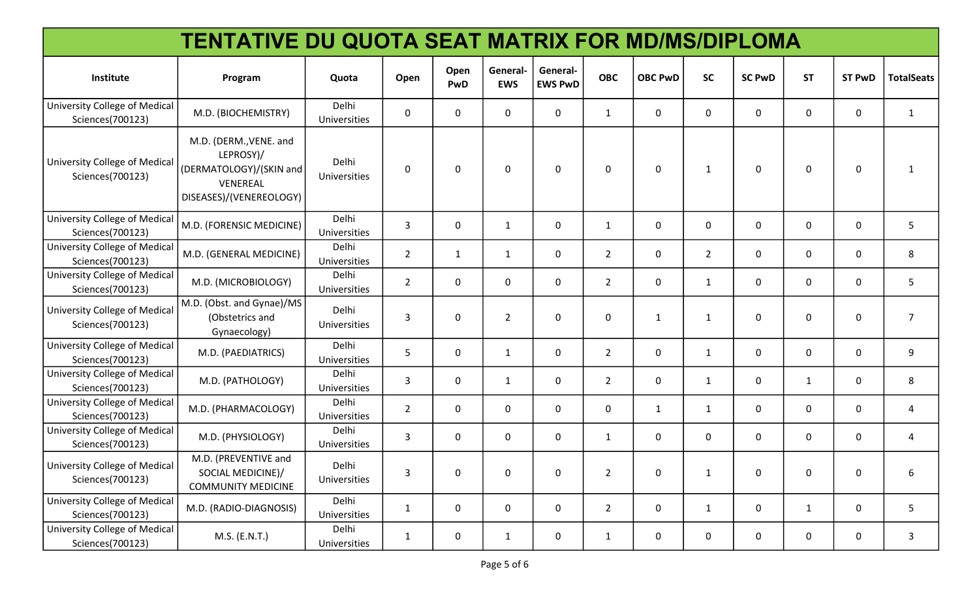| <b>TENTATIVE DU QUOTA SEAT MATRIX FOR MD/MS/DIPLOMA</b> |                                                                                                       |                       |                |              |                        |                            |                |                |                |               |              |               |                   |
|---------------------------------------------------------|-------------------------------------------------------------------------------------------------------|-----------------------|----------------|--------------|------------------------|----------------------------|----------------|----------------|----------------|---------------|--------------|---------------|-------------------|
| Institute                                               | Program                                                                                               | Quota                 | Open           | Open<br>PwD  | General-<br><b>EWS</b> | General-<br><b>EWS PwD</b> | <b>OBC</b>     | <b>OBC PwD</b> | <b>SC</b>      | <b>SC PwD</b> | <b>ST</b>    | <b>ST PwD</b> | <b>TotalSeats</b> |
| University College of Medical<br>Sciences(700123)       | M.D. (BIOCHEMISTRY)                                                                                   | Delhi<br>Universities | $\mathbf 0$    | $\mathbf{0}$ | $\Omega$               | 0                          | $\mathbf{1}$   | 0              | 0              | 0             | 0            | 0             | $\mathbf{1}$      |
| University College of Medical<br>Sciences(700123)       | M.D. (DERM., VENE. and<br>LEPROSY)/<br>(DERMATOLOGY)/(SKIN and<br>VENEREAL<br>DISEASES)/(VENEREOLOGY) | Delhi<br>Universities | $\mathbf 0$    | $\mathbf 0$  | $\mathbf 0$            | $\mathbf{0}$               | $\mathbf 0$    | $\mathbf 0$    | $\mathbf{1}$   | $\mathbf 0$   | $\mathbf{0}$ | 0             | $\mathbf{1}$      |
| University College of Medical<br>Sciences(700123)       | M.D. (FORENSIC MEDICINE)                                                                              | Delhi<br>Universities | 3              | $\mathbf 0$  | $\mathbf{1}$           | 0                          | $\mathbf{1}$   | $\mathbf 0$    | 0              | $\mathbf 0$   | 0            | 0             | 5                 |
| University College of Medical<br>Sciences(700123)       | M.D. (GENERAL MEDICINE)                                                                               | Delhi<br>Universities | $\overline{2}$ | $\mathbf{1}$ | $\mathbf{1}$           | $\mathbf{0}$               | $\overline{2}$ | $\mathbf 0$    | $\overline{2}$ | $\mathbf 0$   | 0            | 0             | 8                 |
| University College of Medical<br>Sciences(700123)       | M.D. (MICROBIOLOGY)                                                                                   | Delhi<br>Universities | $\overline{2}$ | 0            | 0                      | 0                          | $\overline{2}$ | 0              | $\mathbf{1}$   | 0             | 0            | 0             | 5                 |
| University College of Medical<br>Sciences(700123)       | M.D. (Obst. and Gynae)/MS<br>(Obstetrics and<br>Gynaecology)                                          | Delhi<br>Universities | 3              | $\mathbf 0$  | $\overline{2}$         | 0                          | $\mathbf 0$    | $\mathbf{1}$   | $\mathbf{1}$   | $\mathbf 0$   | 0            | 0             | $\overline{7}$    |
| University College of Medical<br>Sciences(700123)       | M.D. (PAEDIATRICS)                                                                                    | Delhi<br>Universities | 5              | $\mathbf 0$  | $\mathbf{1}$           | 0                          | $\overline{2}$ | 0              | $\mathbf{1}$   | $\mathbf{0}$  | 0            | 0             | 9                 |
| University College of Medical<br>Sciences(700123)       | M.D. (PATHOLOGY)                                                                                      | Delhi<br>Universities | 3              | 0            | $\mathbf{1}$           | $\mathbf{0}$               | $\overline{2}$ | $\mathbf 0$    | 1              | 0             | 1            | 0             | 8                 |
| University College of Medical<br>Sciences(700123)       | M.D. (PHARMACOLOGY)                                                                                   | Delhi<br>Universities | $\overline{2}$ | $\mathbf 0$  | 0                      | 0                          | $\mathsf{O}$   | $\mathbf{1}$   | $\mathbf{1}$   | 0             | 0            | 0             | 4                 |
| University College of Medical<br>Sciences(700123)       | M.D. (PHYSIOLOGY)                                                                                     | Delhi<br>Universities | $\mathbf{3}$   | $\mathbf 0$  | $\Omega$               | 0                          | $\mathbf{1}$   | $\mathbf 0$    | $\mathbf 0$    | $\mathbf 0$   | 0            | 0             | 4                 |
| University College of Medical<br>Sciences(700123)       | M.D. (PREVENTIVE and<br>SOCIAL MEDICINE)/<br><b>COMMUNITY MEDICINE</b>                                | Delhi<br>Universities | 3              | 0            | 0                      | 0                          | $\overline{2}$ | 0              | $\mathbf{1}$   | $\mathbf 0$   | 0            | 0             | 6                 |
| University College of Medical<br>Sciences(700123)       | M.D. (RADIO-DIAGNOSIS)                                                                                | Delhi<br>Universities | $\mathbf{1}$   | $\mathbf 0$  | $\mathbf 0$            | 0                          | $\overline{2}$ | 0              | $\mathbf{1}$   | $\mathbf 0$   | $\mathbf{1}$ | 0             | 5                 |
| University College of Medical<br>Sciences(700123)       | M.S. (E.N.T.)                                                                                         | Delhi<br>Universities | $\mathbf{1}$   | 0            | $\mathbf{1}$           | 0                          | $\mathbf{1}$   | 0              | $\mathbf 0$    | 0             | 0            | 0             | 3                 |